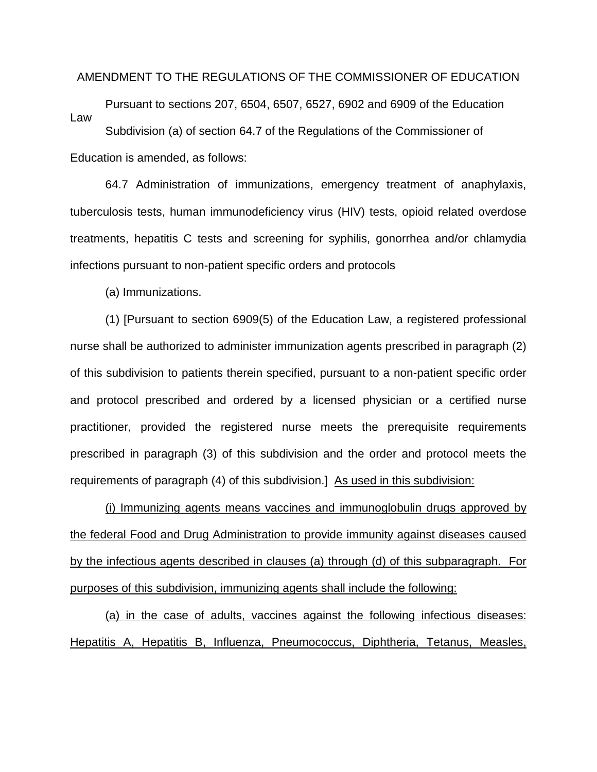## AMENDMENT TO THE REGULATIONS OF THE COMMISSIONER OF EDUCATION

Pursuant to sections 207, 6504, 6507, 6527, 6902 and 6909 of the Education Law Subdivision (a) of section 64.7 of the Regulations of the Commissioner of

Education is amended, as follows:

64.7 Administration of immunizations, emergency treatment of anaphylaxis, tuberculosis tests, human immunodeficiency virus (HIV) tests, opioid related overdose treatments, hepatitis C tests and screening for syphilis, gonorrhea and/or chlamydia infections pursuant to non-patient specific orders and protocols

(a) Immunizations.

(1) [Pursuant to section 6909(5) of the Education Law, a registered professional nurse shall be authorized to administer immunization agents prescribed in paragraph (2) of this subdivision to patients therein specified, pursuant to a non-patient specific order and protocol prescribed and ordered by a licensed physician or a certified nurse practitioner, provided the registered nurse meets the prerequisite requirements prescribed in paragraph (3) of this subdivision and the order and protocol meets the requirements of paragraph (4) of this subdivision.] As used in this subdivision:

(i) Immunizing agents means vaccines and immunoglobulin drugs approved by the federal Food and Drug Administration to provide immunity against diseases caused by the infectious agents described in clauses (a) through (d) of this subparagraph. For purposes of this subdivision, immunizing agents shall include the following:

(a) in the case of adults, vaccines against the following infectious diseases: Hepatitis A, Hepatitis B, Influenza, Pneumococcus, Diphtheria, Tetanus, Measles,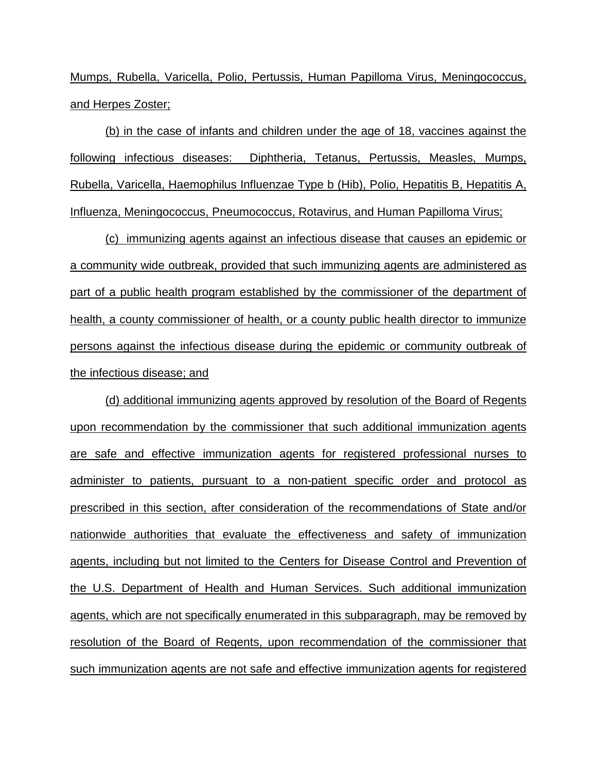Mumps, Rubella, Varicella, Polio, Pertussis, Human Papilloma Virus, Meningococcus, and Herpes Zoster;

(b) in the case of infants and children under the age of 18, vaccines against the following infectious diseases: Diphtheria, Tetanus, Pertussis, Measles, Mumps, Rubella, Varicella, Haemophilus Influenzae Type b (Hib), Polio, Hepatitis B, Hepatitis A, Influenza, Meningococcus, Pneumococcus, Rotavirus, and Human Papilloma Virus;

(c) immunizing agents against an infectious disease that causes an epidemic or a community wide outbreak, provided that such immunizing agents are administered as part of a public health program established by the commissioner of the department of health, a county commissioner of health, or a county public health director to immunize persons against the infectious disease during the epidemic or community outbreak of the infectious disease; and

(d) additional immunizing agents approved by resolution of the Board of Regents upon recommendation by the commissioner that such additional immunization agents are safe and effective immunization agents for registered professional nurses to administer to patients, pursuant to a non-patient specific order and protocol as prescribed in this section, after consideration of the recommendations of State and/or nationwide authorities that evaluate the effectiveness and safety of immunization agents, including but not limited to the Centers for Disease Control and Prevention of the U.S. Department of Health and Human Services. Such additional immunization agents, which are not specifically enumerated in this subparagraph, may be removed by resolution of the Board of Regents, upon recommendation of the commissioner that such immunization agents are not safe and effective immunization agents for registered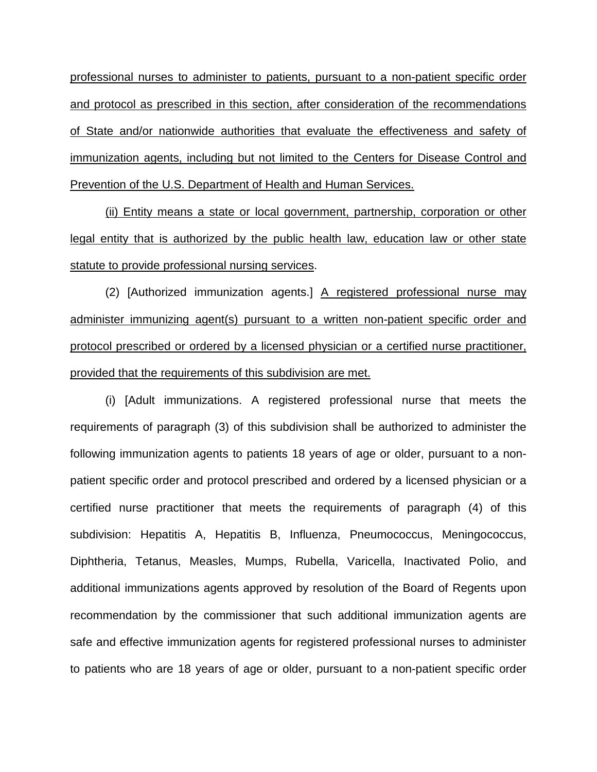professional nurses to administer to patients, pursuant to a non-patient specific order and protocol as prescribed in this section, after consideration of the recommendations of State and/or nationwide authorities that evaluate the effectiveness and safety of immunization agents, including but not limited to the Centers for Disease Control and Prevention of the U.S. Department of Health and Human Services.

(ii) Entity means a state or local government, partnership, corporation or other legal entity that is authorized by the public health law, education law or other state statute to provide professional nursing services.

(2) [Authorized immunization agents.] A registered professional nurse may administer immunizing agent(s) pursuant to a written non-patient specific order and protocol prescribed or ordered by a licensed physician or a certified nurse practitioner, provided that the requirements of this subdivision are met.

(i) [Adult immunizations. A registered professional nurse that meets the requirements of paragraph (3) of this subdivision shall be authorized to administer the following immunization agents to patients 18 years of age or older, pursuant to a nonpatient specific order and protocol prescribed and ordered by a licensed physician or a certified nurse practitioner that meets the requirements of paragraph (4) of this subdivision: Hepatitis A, Hepatitis B, Influenza, Pneumococcus, Meningococcus, Diphtheria, Tetanus, Measles, Mumps, Rubella, Varicella, Inactivated Polio, and additional immunizations agents approved by resolution of the Board of Regents upon recommendation by the commissioner that such additional immunization agents are safe and effective immunization agents for registered professional nurses to administer to patients who are 18 years of age or older, pursuant to a non-patient specific order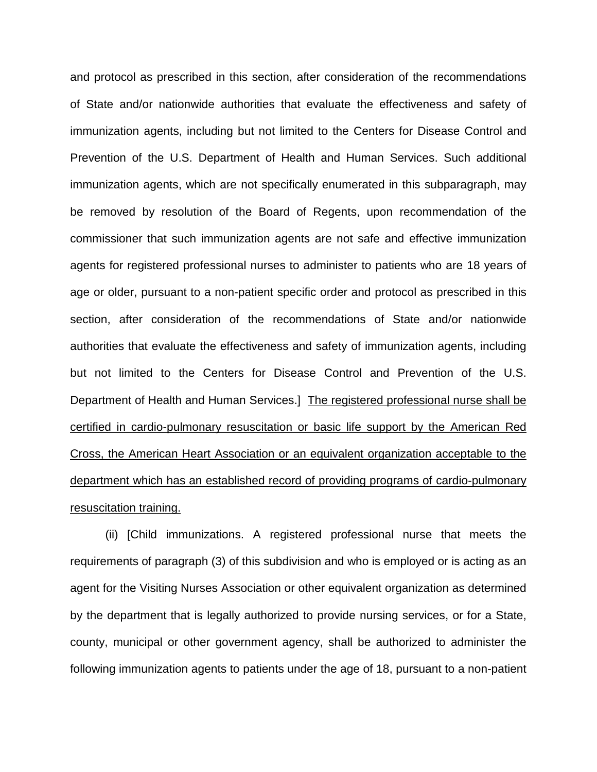and protocol as prescribed in this section, after consideration of the recommendations of State and/or nationwide authorities that evaluate the effectiveness and safety of immunization agents, including but not limited to the Centers for Disease Control and Prevention of the U.S. Department of Health and Human Services. Such additional immunization agents, which are not specifically enumerated in this subparagraph, may be removed by resolution of the Board of Regents, upon recommendation of the commissioner that such immunization agents are not safe and effective immunization agents for registered professional nurses to administer to patients who are 18 years of age or older, pursuant to a non-patient specific order and protocol as prescribed in this section, after consideration of the recommendations of State and/or nationwide authorities that evaluate the effectiveness and safety of immunization agents, including but not limited to the Centers for Disease Control and Prevention of the U.S. Department of Health and Human Services.] The registered professional nurse shall be certified in cardio-pulmonary resuscitation or basic life support by the American Red Cross, the American Heart Association or an equivalent organization acceptable to the department which has an established record of providing programs of cardio-pulmonary resuscitation training.

(ii) [Child immunizations. A registered professional nurse that meets the requirements of paragraph (3) of this subdivision and who is employed or is acting as an agent for the Visiting Nurses Association or other equivalent organization as determined by the department that is legally authorized to provide nursing services, or for a State, county, municipal or other government agency, shall be authorized to administer the following immunization agents to patients under the age of 18, pursuant to a non-patient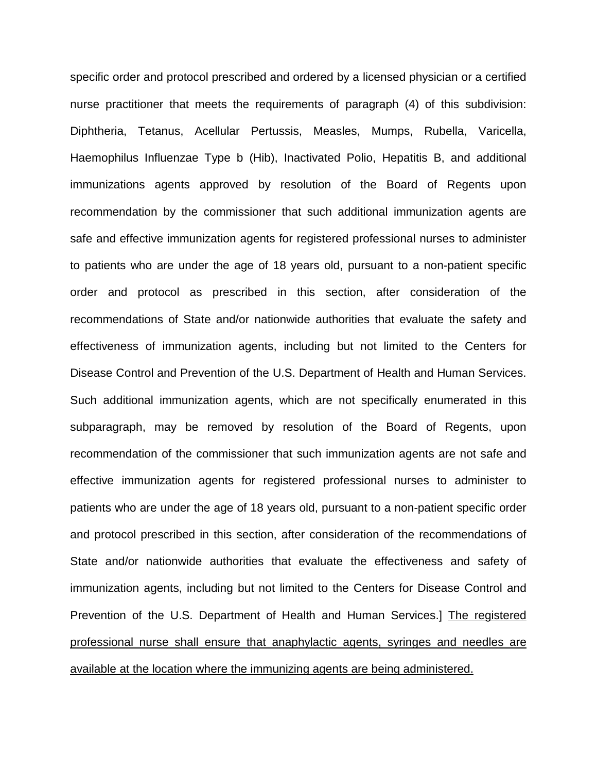specific order and protocol prescribed and ordered by a licensed physician or a certified nurse practitioner that meets the requirements of paragraph (4) of this subdivision: Diphtheria, Tetanus, Acellular Pertussis, Measles, Mumps, Rubella, Varicella, Haemophilus Influenzae Type b (Hib), Inactivated Polio, Hepatitis B, and additional immunizations agents approved by resolution of the Board of Regents upon recommendation by the commissioner that such additional immunization agents are safe and effective immunization agents for registered professional nurses to administer to patients who are under the age of 18 years old, pursuant to a non-patient specific order and protocol as prescribed in this section, after consideration of the recommendations of State and/or nationwide authorities that evaluate the safety and effectiveness of immunization agents, including but not limited to the Centers for Disease Control and Prevention of the U.S. Department of Health and Human Services. Such additional immunization agents, which are not specifically enumerated in this subparagraph, may be removed by resolution of the Board of Regents, upon recommendation of the commissioner that such immunization agents are not safe and effective immunization agents for registered professional nurses to administer to patients who are under the age of 18 years old, pursuant to a non-patient specific order and protocol prescribed in this section, after consideration of the recommendations of State and/or nationwide authorities that evaluate the effectiveness and safety of immunization agents, including but not limited to the Centers for Disease Control and Prevention of the U.S. Department of Health and Human Services.] The registered professional nurse shall ensure that anaphylactic agents, syringes and needles are available at the location where the immunizing agents are being administered.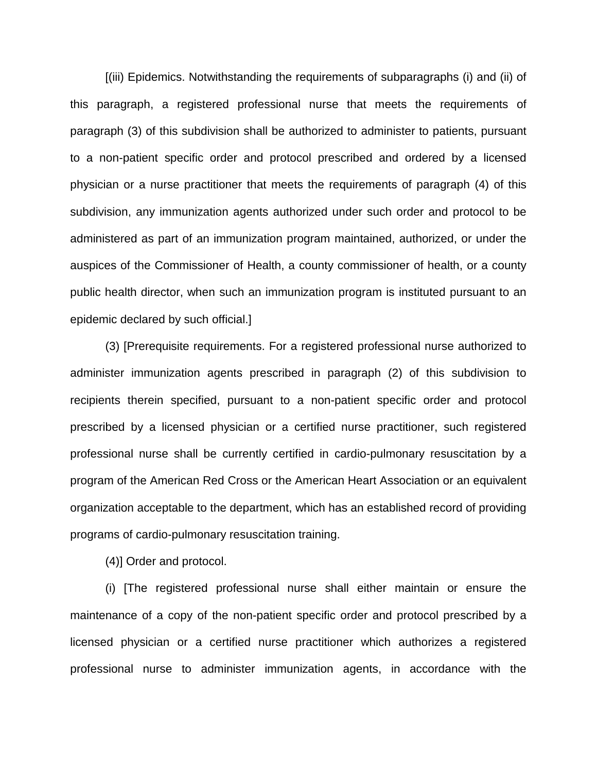[(iii) Epidemics. Notwithstanding the requirements of subparagraphs (i) and (ii) of this paragraph, a registered professional nurse that meets the requirements of paragraph (3) of this subdivision shall be authorized to administer to patients, pursuant to a non-patient specific order and protocol prescribed and ordered by a licensed physician or a nurse practitioner that meets the requirements of paragraph (4) of this subdivision, any immunization agents authorized under such order and protocol to be administered as part of an immunization program maintained, authorized, or under the auspices of the Commissioner of Health, a county commissioner of health, or a county public health director, when such an immunization program is instituted pursuant to an epidemic declared by such official.]

(3) [Prerequisite requirements. For a registered professional nurse authorized to administer immunization agents prescribed in paragraph (2) of this subdivision to recipients therein specified, pursuant to a non-patient specific order and protocol prescribed by a licensed physician or a certified nurse practitioner, such registered professional nurse shall be currently certified in cardio-pulmonary resuscitation by a program of the American Red Cross or the American Heart Association or an equivalent organization acceptable to the department, which has an established record of providing programs of cardio-pulmonary resuscitation training.

(4)] Order and protocol.

(i) [The registered professional nurse shall either maintain or ensure the maintenance of a copy of the non-patient specific order and protocol prescribed by a licensed physician or a certified nurse practitioner which authorizes a registered professional nurse to administer immunization agents, in accordance with the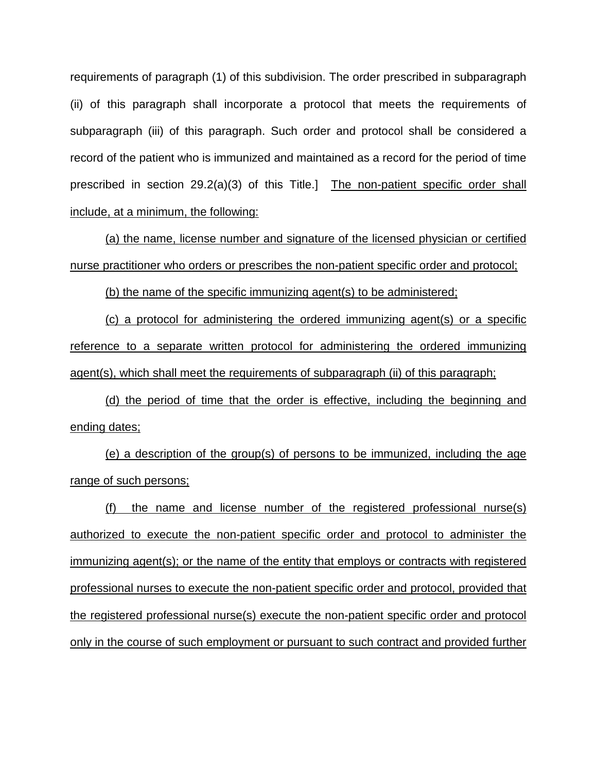requirements of paragraph (1) of this subdivision. The order prescribed in subparagraph (ii) of this paragraph shall incorporate a protocol that meets the requirements of subparagraph (iii) of this paragraph. Such order and protocol shall be considered a record of the patient who is immunized and maintained as a record for the period of time prescribed in section 29.2(a)(3) of this Title.] The non-patient specific order shall include, at a minimum, the following:

(a) the name, license number and signature of the licensed physician or certified nurse practitioner who orders or prescribes the non-patient specific order and protocol;

(b) the name of the specific immunizing agent(s) to be administered;

(c) a protocol for administering the ordered immunizing agent(s) or a specific reference to a separate written protocol for administering the ordered immunizing agent(s), which shall meet the requirements of subparagraph (ii) of this paragraph;

(d) the period of time that the order is effective, including the beginning and ending dates;

(e) a description of the group(s) of persons to be immunized, including the age range of such persons;

(f) the name and license number of the registered professional nurse(s) authorized to execute the non-patient specific order and protocol to administer the immunizing agent(s); or the name of the entity that employs or contracts with registered professional nurses to execute the non-patient specific order and protocol, provided that the registered professional nurse(s) execute the non-patient specific order and protocol only in the course of such employment or pursuant to such contract and provided further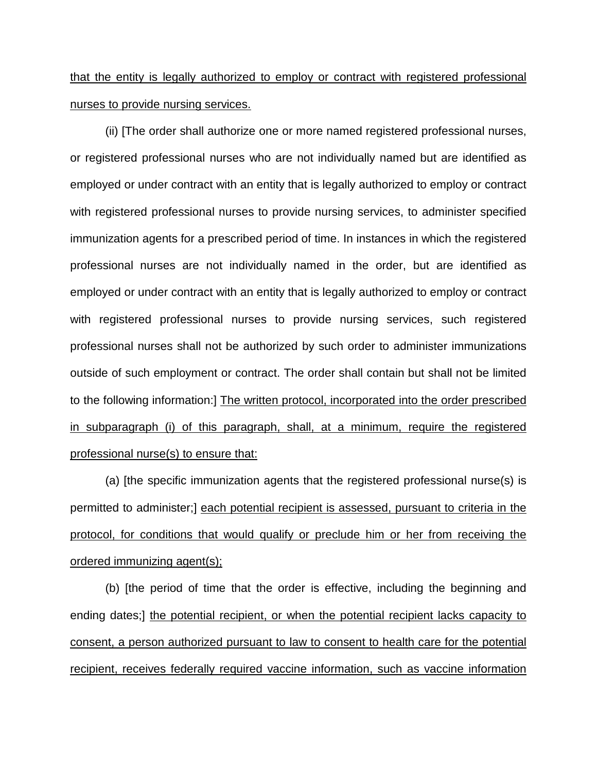## that the entity is legally authorized to employ or contract with registered professional nurses to provide nursing services.

(ii) [The order shall authorize one or more named registered professional nurses, or registered professional nurses who are not individually named but are identified as employed or under contract with an entity that is legally authorized to employ or contract with registered professional nurses to provide nursing services, to administer specified immunization agents for a prescribed period of time. In instances in which the registered professional nurses are not individually named in the order, but are identified as employed or under contract with an entity that is legally authorized to employ or contract with registered professional nurses to provide nursing services, such registered professional nurses shall not be authorized by such order to administer immunizations outside of such employment or contract. The order shall contain but shall not be limited to the following information:] The written protocol, incorporated into the order prescribed in subparagraph (i) of this paragraph, shall, at a minimum, require the registered professional nurse(s) to ensure that:

(a) [the specific immunization agents that the registered professional nurse(s) is permitted to administer;] each potential recipient is assessed, pursuant to criteria in the protocol, for conditions that would qualify or preclude him or her from receiving the ordered immunizing agent(s);

(b) [the period of time that the order is effective, including the beginning and ending dates;] the potential recipient, or when the potential recipient lacks capacity to consent, a person authorized pursuant to law to consent to health care for the potential recipient, receives federally required vaccine information, such as vaccine information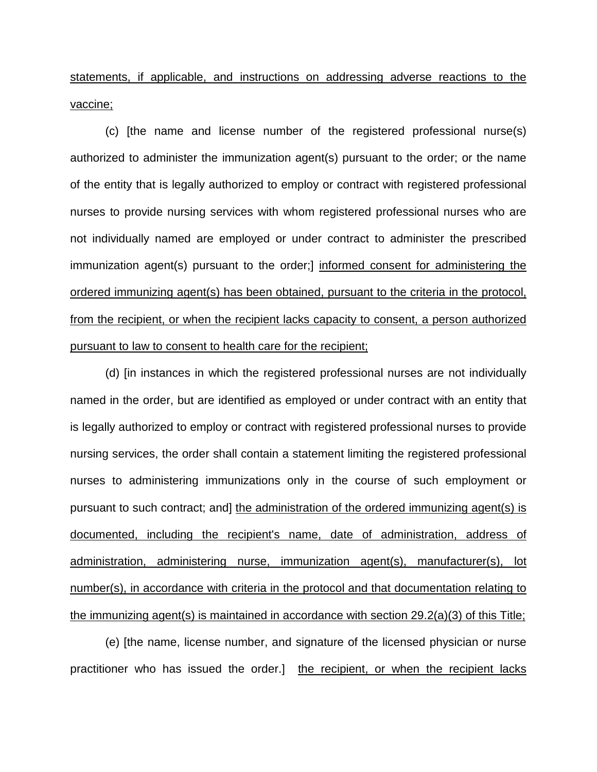statements, if applicable, and instructions on addressing adverse reactions to the vaccine;

(c) [the name and license number of the registered professional nurse(s) authorized to administer the immunization agent(s) pursuant to the order; or the name of the entity that is legally authorized to employ or contract with registered professional nurses to provide nursing services with whom registered professional nurses who are not individually named are employed or under contract to administer the prescribed immunization agent(s) pursuant to the order;] informed consent for administering the ordered immunizing agent(s) has been obtained, pursuant to the criteria in the protocol, from the recipient, or when the recipient lacks capacity to consent, a person authorized pursuant to law to consent to health care for the recipient;

(d) [in instances in which the registered professional nurses are not individually named in the order, but are identified as employed or under contract with an entity that is legally authorized to employ or contract with registered professional nurses to provide nursing services, the order shall contain a statement limiting the registered professional nurses to administering immunizations only in the course of such employment or pursuant to such contract; and] the administration of the ordered immunizing agent(s) is documented, including the recipient's name, date of administration, address of administration, administering nurse, immunization agent(s), manufacturer(s), lot number(s), in accordance with criteria in the protocol and that documentation relating to the immunizing agent(s) is maintained in accordance with section 29.2(a)(3) of this Title;

(e) [the name, license number, and signature of the licensed physician or nurse practitioner who has issued the order.] the recipient, or when the recipient lacks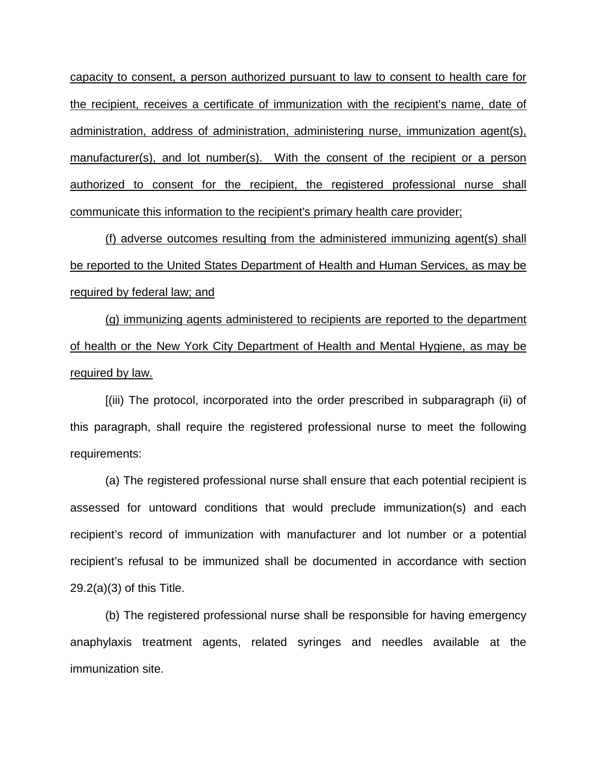capacity to consent, a person authorized pursuant to law to consent to health care for the recipient, receives a certificate of immunization with the recipient's name, date of administration, address of administration, administering nurse, immunization agent(s), manufacturer(s), and lot number(s). With the consent of the recipient or a person authorized to consent for the recipient, the registered professional nurse shall communicate this information to the recipient's primary health care provider;

(f) adverse outcomes resulting from the administered immunizing agent(s) shall be reported to the United States Department of Health and Human Services, as may be required by federal law; and

(g) immunizing agents administered to recipients are reported to the department of health or the New York City Department of Health and Mental Hygiene, as may be required by law.

[(iii) The protocol, incorporated into the order prescribed in subparagraph (ii) of this paragraph, shall require the registered professional nurse to meet the following requirements:

(a) The registered professional nurse shall ensure that each potential recipient is assessed for untoward conditions that would preclude immunization(s) and each recipient's record of immunization with manufacturer and lot number or a potential recipient's refusal to be immunized shall be documented in accordance with section 29.2(a)(3) of this Title.

(b) The registered professional nurse shall be responsible for having emergency anaphylaxis treatment agents, related syringes and needles available at the immunization site.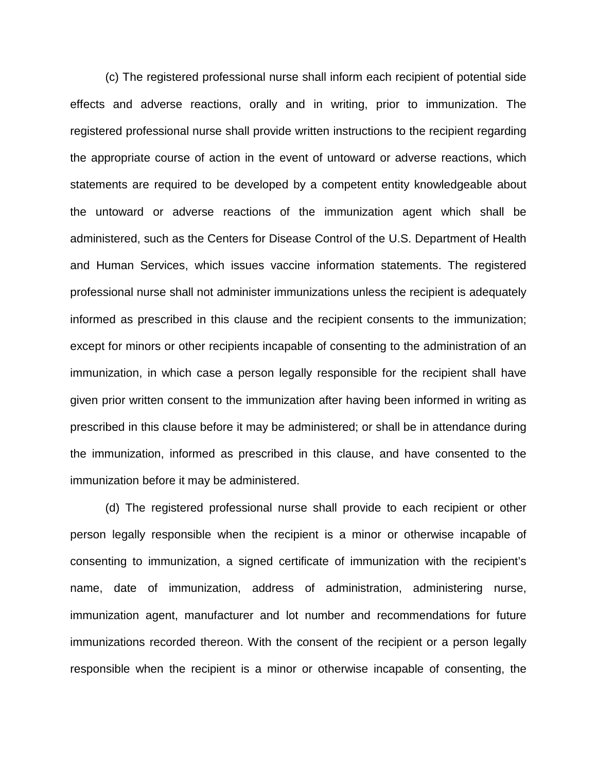(c) The registered professional nurse shall inform each recipient of potential side effects and adverse reactions, orally and in writing, prior to immunization. The registered professional nurse shall provide written instructions to the recipient regarding the appropriate course of action in the event of untoward or adverse reactions, which statements are required to be developed by a competent entity knowledgeable about the untoward or adverse reactions of the immunization agent which shall be administered, such as the Centers for Disease Control of the U.S. Department of Health and Human Services, which issues vaccine information statements. The registered professional nurse shall not administer immunizations unless the recipient is adequately informed as prescribed in this clause and the recipient consents to the immunization; except for minors or other recipients incapable of consenting to the administration of an immunization, in which case a person legally responsible for the recipient shall have given prior written consent to the immunization after having been informed in writing as prescribed in this clause before it may be administered; or shall be in attendance during the immunization, informed as prescribed in this clause, and have consented to the immunization before it may be administered.

(d) The registered professional nurse shall provide to each recipient or other person legally responsible when the recipient is a minor or otherwise incapable of consenting to immunization, a signed certificate of immunization with the recipient's name, date of immunization, address of administration, administering nurse, immunization agent, manufacturer and lot number and recommendations for future immunizations recorded thereon. With the consent of the recipient or a person legally responsible when the recipient is a minor or otherwise incapable of consenting, the